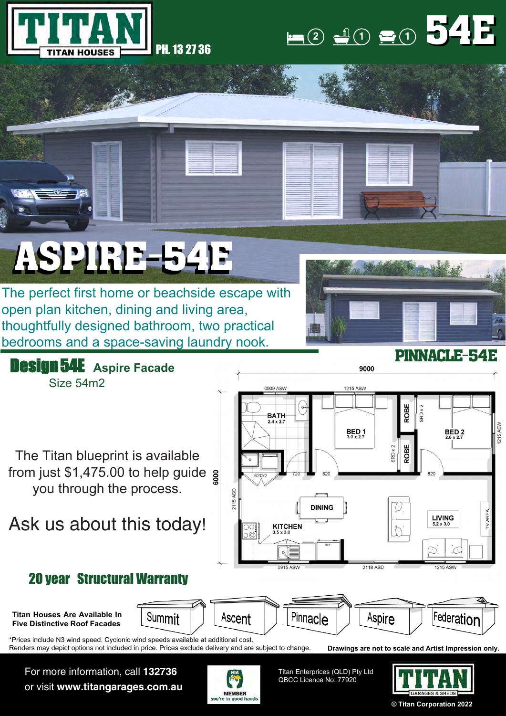



## ASPIRE-54E

The perfect first home or beachside escape with open plan kitchen, dining and living area, thoughtfully designed bathroom, two practical bedrooms and a space-saving laundry nook.



Design 54E **Aspire Facade** Size 54m2

The Titan blueprint is available from just \$1,475.00 to help guide you through the process.

## Ask us about this today!



9000

## 20 year Structural Warranty

**Titan Houses Are Available In Five Distinctive Roof Facades**

Summit Ascent

\*Prices include N3 wind speed. Cyclonic wind speeds available at additional cost. Renders may depict options not included in price. Prices exclude delivery and are subject to change.

For more information, call **132736** or visit **www.titangarages.com.au**



Titan Enterprices (QLD) Pty Ltd QBCC Licence No: 77920

Pinnacle



Federation

**Drawings are not to scale and Artist Impression only.**

Aspire

**© Titan Corporation 2022**